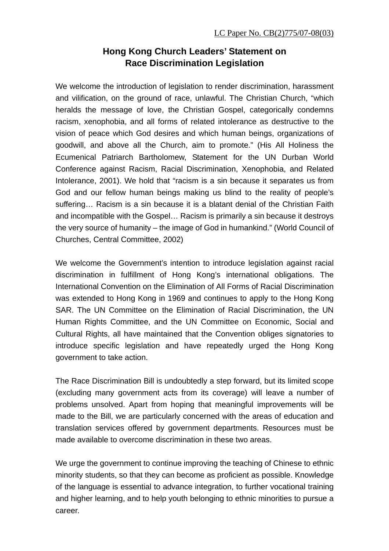## **Hong Kong Church Leaders' Statement on Race Discrimination Legislation**

We welcome the introduction of legislation to render discrimination, harassment and vilification, on the ground of race, unlawful. The Christian Church, "which heralds the message of love, the Christian Gospel, categorically condemns racism, xenophobia, and all forms of related intolerance as destructive to the vision of peace which God desires and which human beings, organizations of goodwill, and above all the Church, aim to promote." (His All Holiness the Ecumenical Patriarch Bartholomew, Statement for the UN Durban World Conference against Racism, Racial Discrimination, Xenophobia, and Related Intolerance, 2001). We hold that "racism is a sin because it separates us from God and our fellow human beings making us blind to the reality of people's suffering… Racism is a sin because it is a blatant denial of the Christian Faith and incompatible with the Gospel… Racism is primarily a sin because it destroys the very source of humanity – the image of God in humankind." (World Council of Churches, Central Committee, 2002)

We welcome the Government's intention to introduce legislation against racial discrimination in fulfillment of Hong Kong's international obligations. The International Convention on the Elimination of All Forms of Racial Discrimination was extended to Hong Kong in 1969 and continues to apply to the Hong Kong SAR. The UN Committee on the Elimination of Racial Discrimination, the UN Human Rights Committee, and the UN Committee on Economic, Social and Cultural Rights, all have maintained that the Convention obliges signatories to introduce specific legislation and have repeatedly urged the Hong Kong government to take action.

The Race Discrimination Bill is undoubtedly a step forward, but its limited scope (excluding many government acts from its coverage) will leave a number of problems unsolved. Apart from hoping that meaningful improvements will be made to the Bill, we are particularly concerned with the areas of education and translation services offered by government departments. Resources must be made available to overcome discrimination in these two areas.

We urge the government to continue improving the teaching of Chinese to ethnic minority students, so that they can become as proficient as possible. Knowledge of the language is essential to advance integration, to further vocational training and higher learning, and to help youth belonging to ethnic minorities to pursue a career.